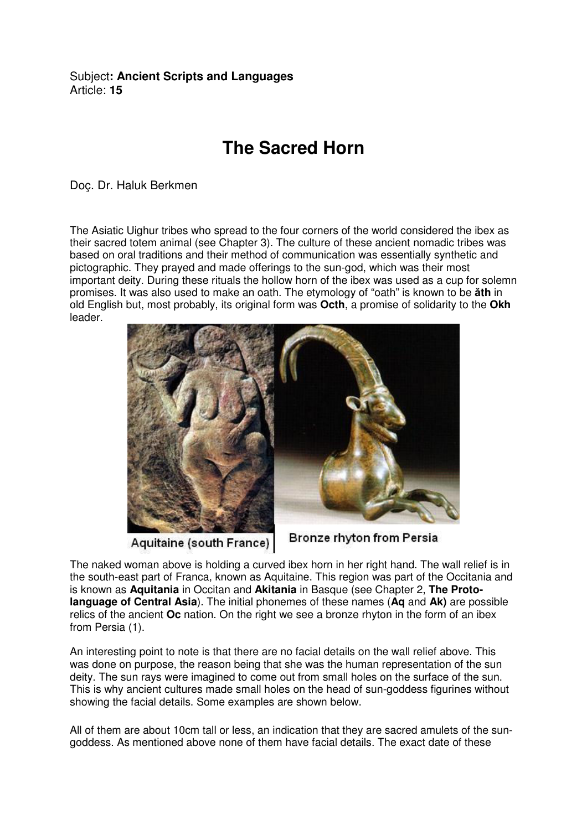## Subject**: Ancient Scripts and Languages**  Article: **15**

## **The Sacred Horn**

Doç. Dr. Haluk Berkmen

The Asiatic Uighur tribes who spread to the four corners of the world considered the ibex as their sacred totem animal (see Chapter 3). The culture of these ancient nomadic tribes was based on oral traditions and their method of communication was essentially synthetic and pictographic. They prayed and made offerings to the sun-god, which was their most important deity. During these rituals the hollow horn of the ibex was used as a cup for solemn promises. It was also used to make an oath. The etymology of "oath" is known to be ǎ**th** in old English but, most probably, its original form was **Octh**, a promise of solidarity to the **Okh** leader.



Aquitaine (south France)

Bronze rhyton from Persia

The naked woman above is holding a curved ibex horn in her right hand. The wall relief is in the south-east part of Franca, known as Aquitaine. This region was part of the Occitania and is known as **Aquitania** in Occitan and **Akitania** in Basque (see Chapter 2, **The Protolanguage of Central Asia**). The initial phonemes of these names (**Aq** and **Ak)** are possible relics of the ancient **Oc** nation. On the right we see a bronze rhyton in the form of an ibex from Persia (1).

An interesting point to note is that there are no facial details on the wall relief above. This was done on purpose, the reason being that she was the human representation of the sun deity. The sun rays were imagined to come out from small holes on the surface of the sun. This is why ancient cultures made small holes on the head of sun-goddess figurines without showing the facial details. Some examples are shown below.

All of them are about 10cm tall or less, an indication that they are sacred amulets of the sungoddess. As mentioned above none of them have facial details. The exact date of these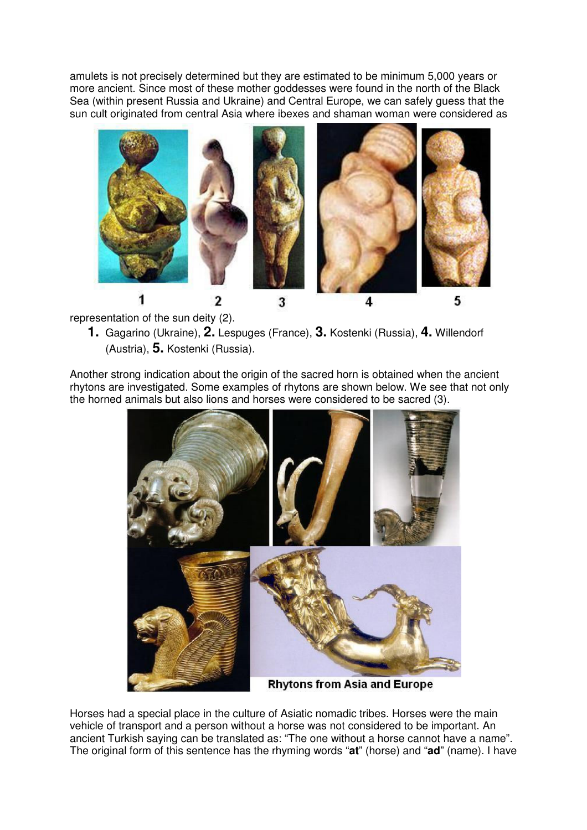amulets is not precisely determined but they are estimated to be minimum 5,000 years or more ancient. Since most of these mother goddesses were found in the north of the Black Sea (within present Russia and Ukraine) and Central Europe, we can safely guess that the sun cult originated from central Asia where ibexes and shaman woman were considered as



representation of the sun deity (2).

**1.** Gagarino (Ukraine), **2.** Lespuges (France), **3.** Kostenki (Russia), **4.** Willendorf (Austria), **5.** Kostenki (Russia).

Another strong indication about the origin of the sacred horn is obtained when the ancient rhytons are investigated. Some examples of rhytons are shown below. We see that not only the horned animals but also lions and horses were considered to be sacred (3).



Horses had a special place in the culture of Asiatic nomadic tribes. Horses were the main vehicle of transport and a person without a horse was not considered to be important. An ancient Turkish saying can be translated as: "The one without a horse cannot have a name". The original form of this sentence has the rhyming words "**at**" (horse) and "**ad**" (name). I have